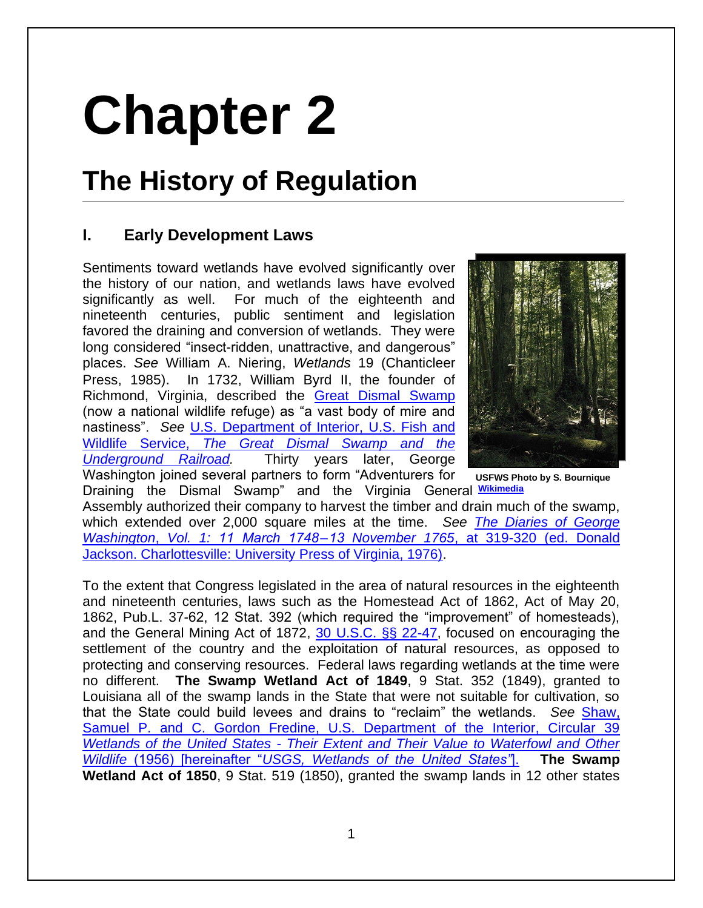# **Chapter 2**

# **The History of Regulation**

# **I. Early Development Laws**

Sentiments toward wetlands have evolved significantly over the history of our nation, and wetlands laws have evolved significantly as well. For much of the eighteenth and nineteenth centuries, public sentiment and legislation favored the draining and conversion of wetlands. They were long considered "insect-ridden, unattractive, and dangerous" places. *See* William A. Niering, *Wetlands* 19 (Chanticleer Press, 1985). In 1732, William Byrd II, the founder of Richmond, Virginia, described the [Great Dismal Swamp](http://www.fws.gov/refuge/great_dismal_swamp/) (now a national wildlife refuge) as "a vast body of mire and nastiness". *See* [U.S. Department of Interior, U.S. Fish and](http://www.fws.gov/uploadedFiles/Region_5/NWRS/South_Zone/Great_Dismal_Swamp_Complex/Great_Dismal_Swamp/UGRR2.pdf)  Wildlife Service, *[The Great Dismal Swamp and the](http://www.fws.gov/uploadedFiles/Region_5/NWRS/South_Zone/Great_Dismal_Swamp_Complex/Great_Dismal_Swamp/UGRR2.pdf)  [Underground Railroad.](http://www.fws.gov/uploadedFiles/Region_5/NWRS/South_Zone/Great_Dismal_Swamp_Complex/Great_Dismal_Swamp/UGRR2.pdf)* Thirty years later, George Washington joined several partners to form "Adventurers for



**USFWS Photo by S. Bournique** 

Draining the Dismal Swamp" and the Virginia General  **[Wikimedia](http://commons.wikimedia.org/wiki/File:Great_dismal_swamp.jpg)** Assembly authorized their company to harvest the timber and drain much of the swamp, which extended over 2,000 square miles at the time. *See [The Diaries of George](http://founders.archives.gov/documents/Washington/01-01-02-0009-0001)  Washington*, *Vol. 1: 11 March 1748 – 13 November 1765*[, at 319-320 \(ed. Donald](http://founders.archives.gov/documents/Washington/01-01-02-0009-0001)  [Jackson. Charlottesville: University Press of Virginia, 1976\).](http://founders.archives.gov/documents/Washington/01-01-02-0009-0001)

To the extent that Congress legislated in the area of natural resources in the eighteenth and nineteenth centuries, laws such as the Homestead Act of 1862, Act of May 20, 1862, Pub.L. 37-62, 12 Stat. 392 (which required the "improvement" of homesteads), and the General Mining Act of 1872, [30 U.S.C. §§ 22-47,](http://www.law.cornell.edu/uscode/text/30/chapter-2) focused on encouraging the settlement of the country and the exploitation of natural resources, as opposed to protecting and conserving resources. Federal laws regarding wetlands at the time were no different. **The Swamp Wetland Act of 1849**, 9 Stat. 352 (1849), granted to Louisiana all of the swamp lands in the State that were not suitable for cultivation, so that the State could build levees and drains to "reclaim" the wetlands. *See* [Shaw,](https://web.archive.org/web/20130303034959/http:/www.npwrc.usgs.gov/resource/wetlands/uswetlan/century.htm)  [Samuel P. and C. Gordon Fredine, U.S. Department of the Interior, Circular 39](https://web.archive.org/web/20130303034959/http:/www.npwrc.usgs.gov/resource/wetlands/uswetlan/century.htm)  *Wetlands of the United States - [Their Extent and Their Value to Waterfowl and Other](https://web.archive.org/web/20130303034959/http:/www.npwrc.usgs.gov/resource/wetlands/uswetlan/century.htm)  Wildlife* (1956) [hereinafter "*[USGS, Wetlands of the United States"](https://web.archive.org/web/20130303034959/http:/www.npwrc.usgs.gov/resource/wetlands/uswetlan/century.htm)*]. **The Swamp Wetland Act of 1850**, 9 Stat. 519 (1850), granted the swamp lands in 12 other states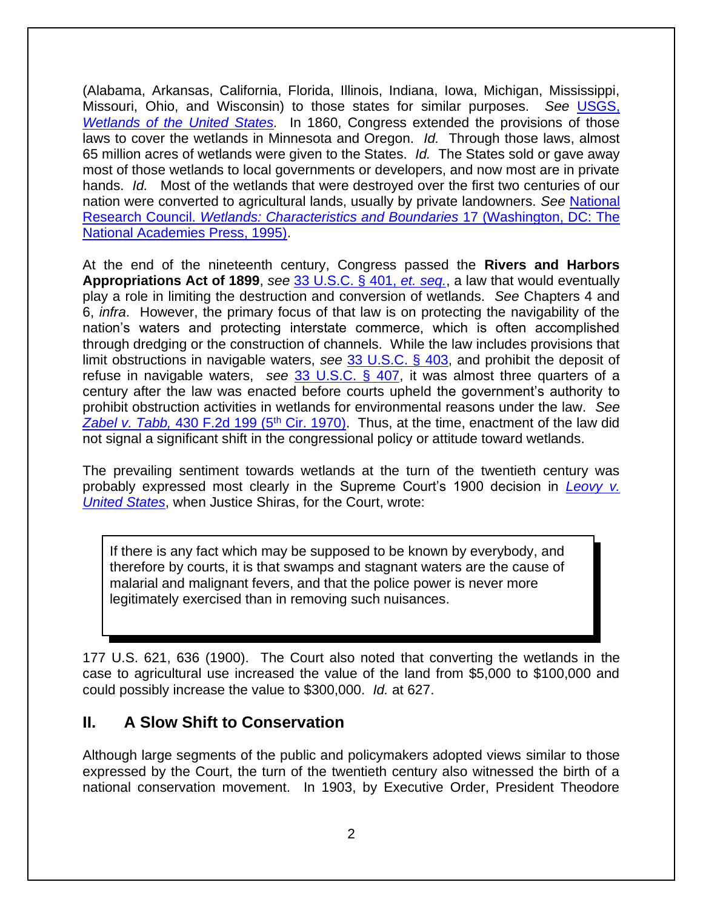(Alabama, Arkansas, California, Florida, Illinois, Indiana, Iowa, Michigan, Mississippi, Missouri, Ohio, and Wisconsin) to those states for similar purposes. *See* [USGS,](https://web.archive.org/web/20130303034959/http:/www.npwrc.usgs.gov/resource/wetlands/uswetlan/century.htm)  *[Wetlands of the United States.](https://web.archive.org/web/20130303034959/http:/www.npwrc.usgs.gov/resource/wetlands/uswetlan/century.htm)* In 1860, Congress extended the provisions of those laws to cover the wetlands in Minnesota and Oregon. *Id.* Through those laws, almost 65 million acres of wetlands were given to the States. *Id.* The States sold or gave away most of those wetlands to local governments or developers, and now most are in private hands. *Id.* Most of the wetlands that were destroyed over the first two centuries of our nation were converted to agricultural lands, usually by private landowners. *See* [National](http://www.nap.edu/openbook.php?record_id=4766)  Research Council. *[Wetlands: Characteristics and Boundaries](http://www.nap.edu/openbook.php?record_id=4766)* 17 (Washington, DC: The [National Academies Press, 1995\).](http://www.nap.edu/openbook.php?record_id=4766)

At the end of the nineteenth century, Congress passed the **Rivers and Harbors Appropriations Act of 1899**, *see* [33 U.S.C. § 401,](http://www.law.cornell.edu/uscode/text/33/chapter-9/subchapter-I) *et. seq.*, a law that would eventually play a role in limiting the destruction and conversion of wetlands. *See* Chapters 4 and 6, *infra*. However, the primary focus of that law is on protecting the navigability of the nation's waters and protecting interstate commerce, which is often accomplished through dredging or the construction of channels. While the law includes provisions that limit obstructions in navigable waters, *see* [33 U.S.C. § 403,](http://www.law.cornell.edu/uscode/text/33/403) and prohibit the deposit of refuse in navigable waters, *see* [33 U.S.C. § 407,](http://www.law.cornell.edu/uscode/text/33/407) it was almost three quarters of a century after the law was enacted before courts upheld the government's authority to prohibit obstruction activities in wetlands for environmental reasons under the law. *See* Zabel v. Tabb, [430 F.2d 199 \(5](http://law.justia.com/cases/federal/appellate-courts/F2/430/199/462979/)<sup>th</sup> Cir. 1970). Thus, at the time, enactment of the law did not signal a significant shift in the congressional policy or attitude toward wetlands.

The prevailing sentiment towards wetlands at the turn of the twentieth century was probably expressed most clearly in the Supreme Court's 1900 decision in *[Leovy v.](http://supreme.justia.com/cases/federal/us/177/621/case.html)  [United States](http://supreme.justia.com/cases/federal/us/177/621/case.html)*, when Justice Shiras, for the Court, wrote:

If there is any fact which may be supposed to be known by everybody, and therefore by courts, it is that swamps and stagnant waters are the cause of malarial and malignant fevers, and that the police power is never more legitimately exercised than in removing such nuisances.

177 U.S. 621, 636 (1900). The Court also noted that converting the wetlands in the case to agricultural use increased the value of the land from \$5,000 to \$100,000 and could possibly increase the value to \$300,000. *Id.* at 627.

#### **II. A Slow Shift to Conservation**

Although large segments of the public and policymakers adopted views similar to those expressed by the Court, the turn of the twentieth century also witnessed the birth of a national conservation movement. In 1903, by Executive Order, President Theodore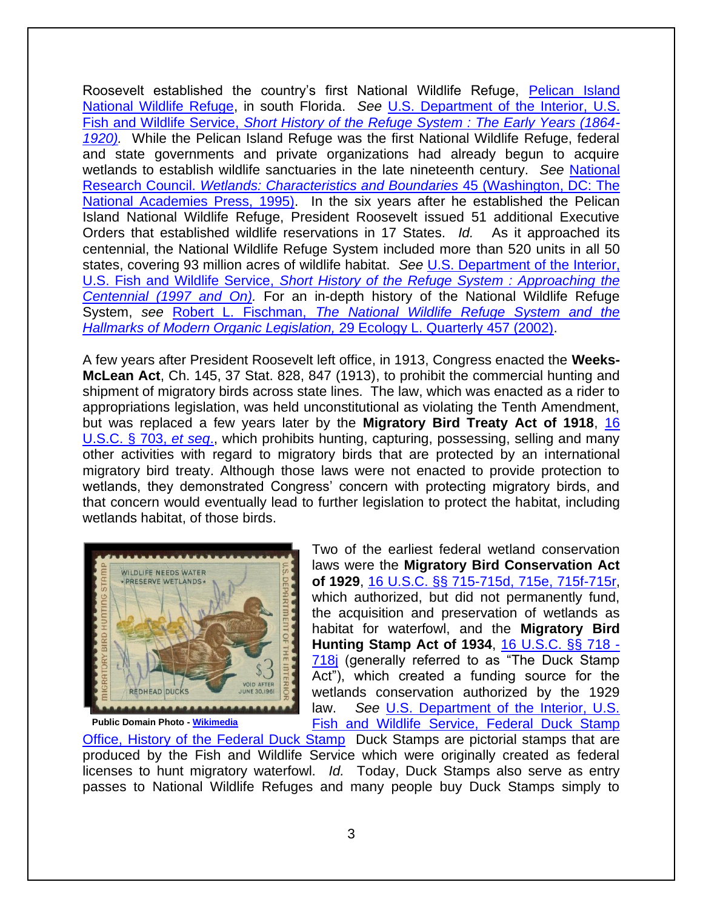Roosevelt established the country's first National Wildlife Refuge, [Pelican Island](http://www.fws.gov/pelicanisland/)  [National Wildlife Refuge,](http://www.fws.gov/pelicanisland/) in south Florida. *See* [U.S. Department of the Interior, U.S.](http://www.fws.gov/refuges/history/over/over_hist-a_fs.html)  Fish and Wildlife Service, *[Short History of the Refuge System : The Early Years \(1864-](http://www.fws.gov/refuges/history/over/over_hist-a_fs.html) [1920\).](http://www.fws.gov/refuges/history/over/over_hist-a_fs.html)* While the Pelican Island Refuge was the first National Wildlife Refuge, federal and state governments and private organizations had already begun to acquire wetlands to establish wildlife sanctuaries in the late nineteenth century. *See* [National](http://www.nap.edu/openbook.php?record_id=4766)  Research Council. *[Wetlands: Characteristics and Boundaries](http://www.nap.edu/openbook.php?record_id=4766)* 45 (Washington, DC: The [National Academies Press, 1995\).](http://www.nap.edu/openbook.php?record_id=4766) In the six years after he established the Pelican Island National Wildlife Refuge, President Roosevelt issued 51 additional Executive Orders that established wildlife reservations in 17 States. *Id.* As it approached its centennial, the National Wildlife Refuge System included more than 520 units in all 50 states, covering 93 million acres of wildlife habitat. *See* [U.S. Department of the Interior,](http://www.fws.gov/refuges/history/over/over_hist-d_fs.html)  U.S. Fish and Wildlife Service, *[Short History of the Refuge System : Approaching the](http://www.fws.gov/refuges/history/over/over_hist-d_fs.html)  [Centennial \(1997 and On\).](http://www.fws.gov/refuges/history/over/over_hist-d_fs.html)* For an in-depth history of the National Wildlife Refuge System, *see* Robert L. Fischman, *[The National Wildlife Refuge System and the](http://papers.ssrn.com/sol3/Delivery.cfm/SSRN_ID918203_code580507.pdf?abstractid=918203&mirid=1)  [Hallmarks of Modern Organic Legislation,](http://papers.ssrn.com/sol3/Delivery.cfm/SSRN_ID918203_code580507.pdf?abstractid=918203&mirid=1)* 29 Ecology L. Quarterly 457 (2002).

A few years after President Roosevelt left office, in 1913, Congress enacted the **Weeks-McLean Act**, Ch. 145, 37 Stat. 828, 847 (1913), to prohibit the commercial hunting and shipment of migratory birds across state lines. The law, which was enacted as a rider to appropriations legislation, was held unconstitutional as violating the Tenth Amendment, but was replaced a few years later by the **Migratory Bird Treaty Act of 1918**, [16](http://www.law.cornell.edu/uscode/text/16/703)  [U.S.C. § 703,](http://www.law.cornell.edu/uscode/text/16/703) *et seq*., which prohibits hunting, capturing, possessing, selling and many other activities with regard to migratory birds that are protected by an international migratory bird treaty. Although those laws were not enacted to provide protection to wetlands, they demonstrated Congress' concern with protecting migratory birds, and that concern would eventually lead to further legislation to protect the habitat, including wetlands habitat, of those birds.



Two of the earliest federal wetland conservation laws were the **Migratory Bird Conservation Act of 1929**, [16 U.S.C. §§ 715-715d, 715e, 715f-715r,](http://www.law.cornell.edu/uscode/text/16/chapter-7/subchapter-III) which authorized, but did not permanently fund, the acquisition and preservation of wetlands as habitat for waterfowl, and the **Migratory Bird Hunting Stamp Act of 1934**, [16 U.S.C. §§ 718 -](http://www.law.cornell.edu/uscode/text/16/chapter-7/subchapter-IV) [718j](http://www.law.cornell.edu/uscode/text/16/chapter-7/subchapter-IV) (generally referred to as "The Duck Stamp Act"), which created a funding source for the wetlands conservation authorized by the 1929 law. *See* [U.S. Department of the Interior, U.S.](https://www.fws.gov/birds/get-involved/duck-stamp/history-of-the-federal-duck-stamp.php)  Fish and Wildlife [Service, Federal Duck Stamp](https://www.fws.gov/birds/get-involved/duck-stamp/history-of-the-federal-duck-stamp.php) 

**Public Domain Photo - [Wikimedia](http://commons.wikimedia.org/wiki/File:Duck_stamp.jpg)**

[Office, History of the Federal Duck Stamp](https://www.fws.gov/birds/get-involved/duck-stamp/history-of-the-federal-duck-stamp.php) Duck Stamps are pictorial stamps that are produced by the Fish and Wildlife Service which were originally created as federal licenses to hunt migratory waterfowl. *Id.* Today, Duck Stamps also serve as entry passes to National Wildlife Refuges and many people buy Duck Stamps simply to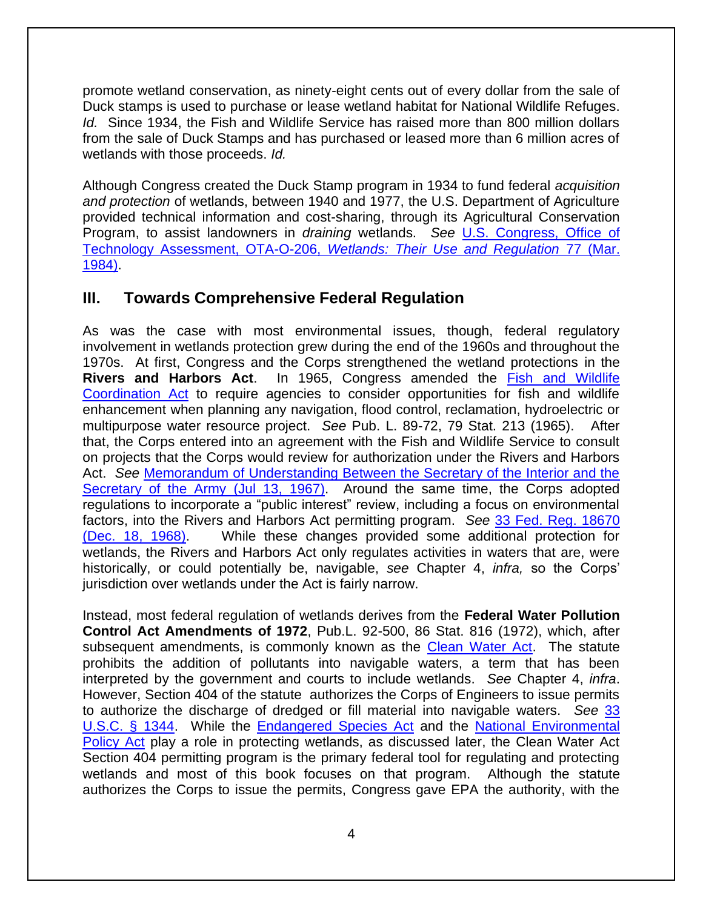promote wetland conservation, as ninety-eight cents out of every dollar from the sale of Duck stamps is used to purchase or lease wetland habitat for National Wildlife Refuges. *Id.* Since 1934, the Fish and Wildlife Service has raised more than 800 million dollars from the sale of Duck Stamps and has purchased or leased more than 6 million acres of wetlands with those proceeds. *Id.* 

Although Congress created the Duck Stamp program in 1934 to fund federal *acquisition and protection* of wetlands, between 1940 and 1977, the U.S. Department of Agriculture provided technical information and cost-sharing, through its Agricultural Conservation Program, to assist landowners in *draining* wetlands. *See* [U.S. Congress, Office of](http://govinfo.library.unt.edu/ota/Ota_4/DATA/1984/8433.PDF)  [Technology Assessment, OTA-O-206,](http://govinfo.library.unt.edu/ota/Ota_4/DATA/1984/8433.PDF) *Wetlands: Their Use and Regulation* 77 (Mar. [1984\).](http://govinfo.library.unt.edu/ota/Ota_4/DATA/1984/8433.PDF)

## **III. Towards Comprehensive Federal Regulation**

As was the case with most environmental issues, though, federal regulatory involvement in wetlands protection grew during the end of the 1960s and throughout the 1970s. At first, Congress and the Corps strengthened the wetland protections in the **Rivers and Harbors Act**. In 1965, Congress amended the [Fish and Wildlife](http://www.law.cornell.edu/uscode/text/16/chapter-5A/subchapter-I)  [Coordination Act](http://www.law.cornell.edu/uscode/text/16/chapter-5A/subchapter-I) to require agencies to consider opportunities for fish and wildlife enhancement when planning any navigation, flood control, reclamation, hydroelectric or multipurpose water resource project. *See* Pub. L. 89-72, 79 Stat. 213 (1965). After that, the Corps entered into an agreement with the Fish and Wildlife Service to consult on projects that the Corps would review for authorization under the Rivers and Harbors Act. *See* [Memorandum of Understanding Between the Secretary of the Interior and the](http://www.envirolawteachers.com/33-fed-reg-18672.html)  [Secretary of the Army \(Jul 13, 1967\).](http://www.envirolawteachers.com/33-fed-reg-18672.html) Around the same time, the Corps adopted regulations to incorporate a "public interest" review, including a focus on environmental factors, into the Rivers and Harbors Act permitting program. *See* [33 Fed. Reg. 18670](http://www.envirolawteachers.com/33-fed-reg-18672.html)  [\(Dec. 18, 1968\).](http://www.envirolawteachers.com/33-fed-reg-18672.html) While these changes provided some additional protection for wetlands, the Rivers and Harbors Act only regulates activities in waters that are, were historically, or could potentially be, navigable, *see* Chapter 4, *infra,* so the Corps' jurisdiction over wetlands under the Act is fairly narrow.

Instead, most federal regulation of wetlands derives from the **Federal Water Pollution Control Act Amendments of 1972**, Pub.L. 92-500, 86 Stat. 816 (1972), which, after subsequent amendments, is commonly known as the [Clean Water Act.](http://www.law.cornell.edu/uscode/text/33/chapter-26) The statute prohibits the addition of pollutants into navigable waters, a term that has been interpreted by the government and courts to include wetlands. *See* Chapter 4, *infra*. However, Section 404 of the statute authorizes the Corps of Engineers to issue permits to authorize the discharge of dredged or fill material into navigable waters. *See* [33](http://www.law.cornell.edu/uscode/text/33/1344)  [U.S.C. § 1344.](http://www.law.cornell.edu/uscode/text/33/1344) While the [Endangered Species Act](http://www.law.cornell.edu/uscode/text/16/chapter-35) and the [National Environmental](http://www.law.cornell.edu/uscode/text/42/chapter-55)  [Policy Act](http://www.law.cornell.edu/uscode/text/42/chapter-55) play a role in protecting wetlands, as discussed later, the Clean Water Act Section 404 permitting program is the primary federal tool for regulating and protecting wetlands and most of this book focuses on that program. Although the statute authorizes the Corps to issue the permits, Congress gave EPA the authority, with the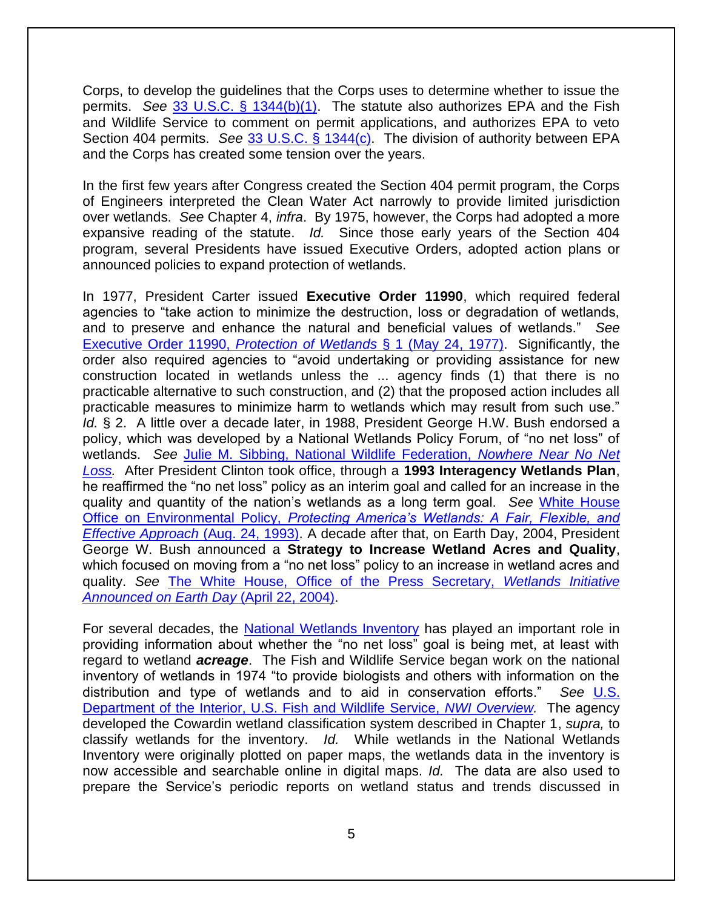Corps, to develop the guidelines that the Corps uses to determine whether to issue the permits. *See* [33 U.S.C. § 1344\(b\)\(1\).](http://www.law.cornell.edu/uscode/text/33/1344) The statute also authorizes EPA and the Fish and Wildlife Service to comment on permit applications, and authorizes EPA to veto Section 404 permits. *See* [33 U.S.C. § 1344\(c\).](http://www.law.cornell.edu/uscode/text/33/1344) The division of authority between EPA and the Corps has created some tension over the years.

In the first few years after Congress created the Section 404 permit program, the Corps of Engineers interpreted the Clean Water Act narrowly to provide limited jurisdiction over wetlands. *See* Chapter 4, *infra*. By 1975, however, the Corps had adopted a more expansive reading of the statute. *Id.* Since those early years of the Section 404 program, several Presidents have issued Executive Orders, adopted action plans or announced policies to expand protection of wetlands.

In 1977, President Carter issued **Executive Order 11990**, which required federal agencies to "take action to minimize the destruction, loss or degradation of wetlands, and to preserve and enhance the natural and beneficial values of wetlands." *See*  [Executive Order 11990,](http://www.archives.gov/federal-register/codification/executive-order/11990.html) *Protection of Wetlands* § 1 (May 24, 1977). Significantly, the order also required agencies to "avoid undertaking or providing assistance for new construction located in wetlands unless the ... agency finds (1) that there is no practicable alternative to such construction, and (2) that the proposed action includes all practicable measures to minimize harm to wetlands which may result from such use." *Id.* § 2. A little over a decade later, in 1988, President George H.W. Bush endorsed a policy, which was developed by a National Wetlands Policy Forum, of "no net loss" of wetlands. *See* [Julie M. Sibbing, National Wildlife Federation,](http://web.archive.org/web/20150914232216/http:/www.nwf.org/pdf/Wildlife/Nowhere_Near_No-Net-Loss.pdf) *Nowhere Near No Net [Loss.](http://web.archive.org/web/20150914232216/http:/www.nwf.org/pdf/Wildlife/Nowhere_Near_No-Net-Loss.pdf)* After President Clinton took office, through a **1993 Interagency Wetlands Plan**, he reaffirmed the "no net loss" policy as an interim goal and called for an increase in the quality and quantity of the nation's wetlands as a long term goal. *See* [White House](http://web.archive.org/web/20150909213617/http:/www.usace.army.mil/Portals/2/docs/civilworks/regulatory/materials/wetland_policy1993.pdf)  Office on Environmental Policy, *[Protecting America's Wetlands: A Fair, Flexible, and](http://web.archive.org/web/20150909213617/http:/www.usace.army.mil/Portals/2/docs/civilworks/regulatory/materials/wetland_policy1993.pdf)  [Effective Approach](http://web.archive.org/web/20150909213617/http:/www.usace.army.mil/Portals/2/docs/civilworks/regulatory/materials/wetland_policy1993.pdf)* (Aug. 24, 1993). A decade after that, on Earth Day, 2004, President George W. Bush announced a **Strategy to Increase Wetland Acres and Quality**, which focused on moving from a "no net loss" policy to an increase in wetland acres and quality. *See* [The White House, Office of the Press Secretary,](http://2001-2009.state.gov/g/oes/rls/fs/2004/31735.htm) *Wetlands Initiative [Announced on Earth Day](http://2001-2009.state.gov/g/oes/rls/fs/2004/31735.htm)* (April 22, 2004).

For several decades, the [National Wetlands Inventory](http://www.fws.gov/wetlands/index.html) has played an important role in providing information about whether the "no net loss" goal is being met, at least with regard to wetland *acreage*. The Fish and Wildlife Service began work on the national inventory of wetlands in 1974 "to provide biologists and others with information on the distribution and type of wetlands and to aid in conservation efforts." *See* [U.S.](http://www.fws.gov/wetlands/NWI/Overview.html)  [Department of the Interior, U.S. Fish and Wildlife Service,](http://www.fws.gov/wetlands/NWI/Overview.html) *NWI Overview.* The agency developed the Cowardin wetland classification system described in Chapter 1, *supra,* to classify wetlands for the inventory. *Id.* While wetlands in the National Wetlands Inventory were originally plotted on paper maps, the wetlands data in the inventory is now accessible and searchable online in digital maps. *Id.* The data are also used to prepare the Service's periodic reports on wetland status and trends discussed in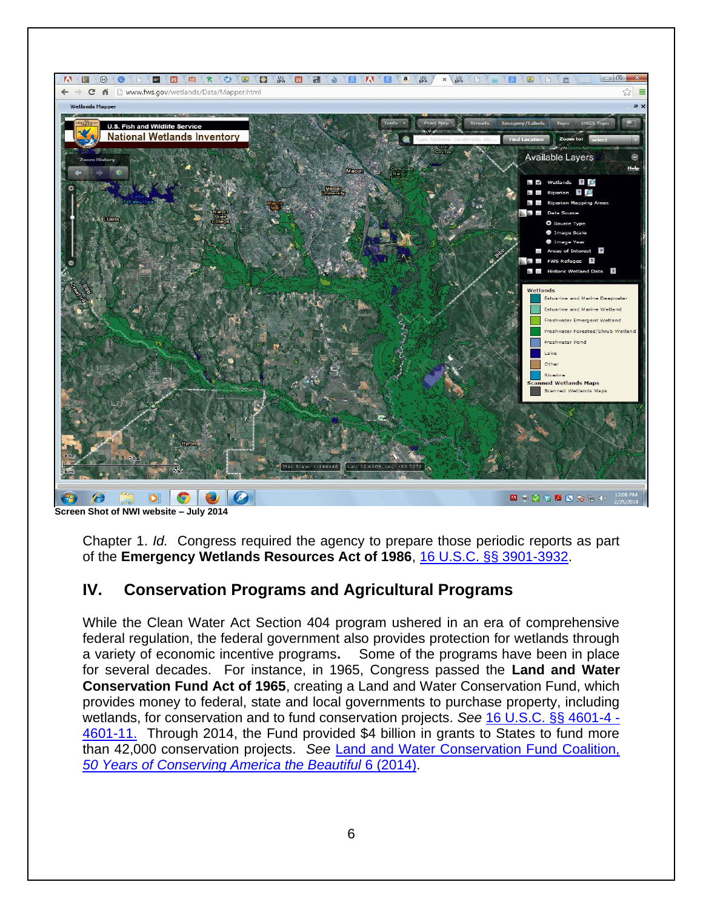

**Screen Shot of NWI website – July 2014** 

Chapter 1. *Id.* Congress required the agency to prepare those periodic reports as part of the **Emergency Wetlands Resources Act of 1986**, [16 U.S.C. §§ 3901-3932.](http://www.law.cornell.edu/uscode/text/16/chapter-59)

# **IV. Conservation Programs and Agricultural Programs**

While the Clean Water Act Section 404 program ushered in an era of comprehensive federal regulation, the federal government also provides protection for wetlands through a variety of economic incentive programs**.** Some of the programs have been in place for several decades. For instance, in 1965, Congress passed the **Land and Water Conservation Fund Act of 1965**, creating a Land and Water Conservation Fund, which provides money to federal, state and local governments to purchase property, including wetlands, for conservation and to fund conservation projects. *See* [16 U.S.C. §§ 4601-4 -](http://www.law.cornell.edu/uscode/text/16/chapter-1/subchapter-LXIX/part-B) [4601-11.](http://www.law.cornell.edu/uscode/text/16/chapter-1/subchapter-LXIX/part-B) Through 2014, the Fund provided \$4 billion in grants to States to fund more than 42,000 conservation projects. *See* [Land and Water Conservation Fund Coalition,](https://www.besnet.world/land-and-water-conservation-fund-coalition-50-years-conserving-america-beautiful)  *[50 Years of Conserving America the Beautiful](https://www.besnet.world/land-and-water-conservation-fund-coalition-50-years-conserving-america-beautiful)* 6 (2014).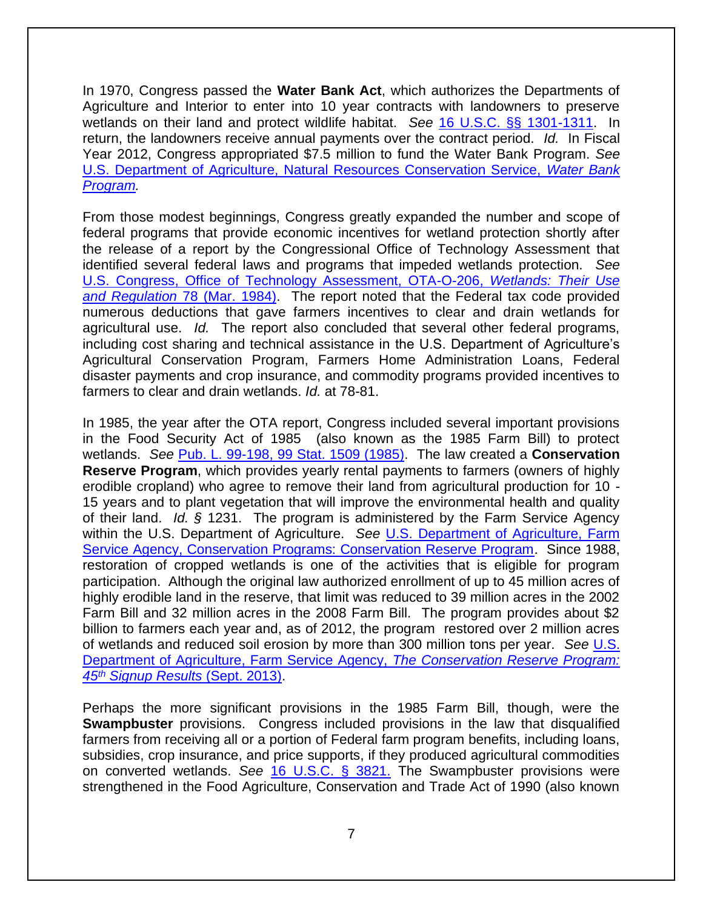In 1970, Congress passed the **Water Bank Act**, which authorizes the Departments of Agriculture and Interior to enter into 10 year contracts with landowners to preserve wetlands on their land and protect wildlife habitat. *See* [16 U.S.C. §§ 1301-1311.](http://www.law.cornell.edu/uscode/text/16/chapter-29) In return, the landowners receive annual payments over the contract period. *Id.* In Fiscal Year 2012, Congress appropriated \$7.5 million to fund the Water Bank Program. *See*  [U.S. Department of Agriculture, Natural Resources Conservation Service,](http://www.nrcs.usda.gov/wps/portal/nrcs/detail/national/programs/financial/?&cid=stelprdb1047790) *Water Bank [Program.](http://www.nrcs.usda.gov/wps/portal/nrcs/detail/national/programs/financial/?&cid=stelprdb1047790)* 

From those modest beginnings, Congress greatly expanded the number and scope of federal programs that provide economic incentives for wetland protection shortly after the release of a report by the Congressional Office of Technology Assessment that identified several federal laws and programs that impeded wetlands protection. *See* [U.S. Congress, Office of Technology Assessment, OTA-O-206,](http://govinfo.library.unt.edu/ota/Ota_4/DATA/1984/8433.PDF) *Wetlands: Their Use and Regulation* [78 \(Mar. 1984\).](http://govinfo.library.unt.edu/ota/Ota_4/DATA/1984/8433.PDF) The report noted that the Federal tax code provided numerous deductions that gave farmers incentives to clear and drain wetlands for agricultural use. *Id.* The report also concluded that several other federal programs, including cost sharing and technical assistance in the U.S. Department of Agriculture's Agricultural Conservation Program, Farmers Home Administration Loans, Federal disaster payments and crop insurance, and commodity programs provided incentives to farmers to clear and drain wetlands. *Id.* at 78-81.

In 1985, the year after the OTA report, Congress included several important provisions in the Food Security Act of 1985 (also known as the 1985 Farm Bill) to protect wetlands. *See* [Pub. L. 99-198, 99 Stat. 1509 \(1985\).](http://history.nih.gov/research/downloads/PL99-198.pdf) The law created a **Conservation Reserve Program**, which provides yearly rental payments to farmers (owners of highly erodible cropland) who agree to remove their land from agricultural production for 10 - 15 years and to plant vegetation that will improve the environmental health and quality of their land. *Id. §* 1231. The program is administered by the Farm Service Agency within the U.S. Department of Agriculture. *See* [U.S. Department of Agriculture, Farm](http://www.fsa.usda.gov/FSA/webapp?area=home&subject=copr&topic=crp)  [Service Agency, Conservation Programs: Conservation Reserve Program.](http://www.fsa.usda.gov/FSA/webapp?area=home&subject=copr&topic=crp) Since 1988, restoration of cropped wetlands is one of the activities that is eligible for program participation. Although the original law authorized enrollment of up to 45 million acres of highly erodible land in the reserve, that limit was reduced to 39 million acres in the 2002 Farm Bill and 32 million acres in the 2008 Farm Bill. The program provides about \$2 billion to farmers each year and, as of 2012, the program restored over 2 million acres of wetlands and reduced soil erosion by more than 300 million tons per year. *See* [U.S.](http://www.fsa.usda.gov/Internet/FSA_File/su45state0913.pdf)  [Department of Agriculture, Farm Service Agency,](http://www.fsa.usda.gov/Internet/FSA_File/su45state0913.pdf) *The Conservation Reserve Program: 45th [Signup Results](http://www.fsa.usda.gov/Internet/FSA_File/su45state0913.pdf)* (Sept. 2013).

Perhaps the more significant provisions in the 1985 Farm Bill, though, were the **Swampbuster** provisions. Congress included provisions in the law that disqualified farmers from receiving all or a portion of Federal farm program benefits, including loans, subsidies, crop insurance, and price supports, if they produced agricultural commodities on converted wetlands. *See* [16 U.S.C. § 3821.](http://www.law.cornell.edu/uscode/text/16/3821) The Swampbuster provisions were strengthened in the Food Agriculture, Conservation and Trade Act of 1990 (also known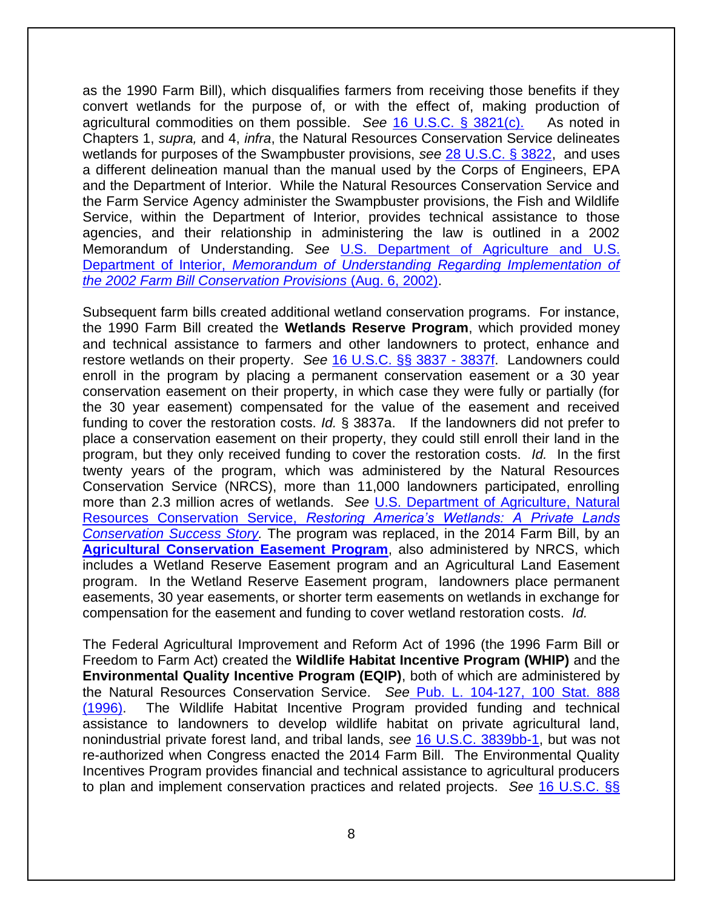as the 1990 Farm Bill), which disqualifies farmers from receiving those benefits if they convert wetlands for the purpose of, or with the effect of, making production of agricultural commodities on them possible. *See* [16 U.S.C. § 3821\(c\).](http://www.law.cornell.edu/uscode/text/16/3821) As noted in Chapters 1, *supra,* and 4, *infra*, the Natural Resources Conservation Service delineates wetlands for purposes of the Swampbuster provisions, *see* [28 U.S.C. § 3822,](http://www.law.cornell.edu/uscode/text/16/3822) and uses a different delineation manual than the manual used by the Corps of Engineers, EPA and the Department of Interior. While the Natural Resources Conservation Service and the Farm Service Agency administer the Swampbuster provisions, the Fish and Wildlife Service, within the Department of Interior, provides technical assistance to those agencies, and their relationship in administering the law is outlined in a 2002 Memorandum of Understanding. *See* [U.S. Department of Agriculture and](https://web.archive.org/web/20150425044306/http:/www.fws.gov:80/policy/m0226.pdf) U.S. Department of Interior, *[Memorandum of Understanding Regarding Implementation of](https://web.archive.org/web/20150425044306/http:/www.fws.gov:80/policy/m0226.pdf)  [the 2002 Farm Bill Conservation Provisions](https://web.archive.org/web/20150425044306/http:/www.fws.gov:80/policy/m0226.pdf)* (Aug. 6, 2002).

Subsequent farm bills created additional wetland conservation programs. For instance, the 1990 Farm Bill created the **Wetlands Reserve Program**, which provided money and technical assistance to farmers and other landowners to protect, enhance and restore wetlands on their property. *See* [16 U.S.C. §§ 3837 -](http://www.law.cornell.edu/uscode/text/16/chapter-58/subchapter-IV/part-I/subpart-c) 3837f. Landowners could enroll in the program by placing a permanent conservation easement or a 30 year conservation easement on their property, in which case they were fully or partially (for the 30 year easement) compensated for the value of the easement and received funding to cover the restoration costs. *Id.* § 3837a. If the landowners did not prefer to place a conservation easement on their property, they could still enroll their land in the program, but they only received funding to cover the restoration costs. *Id.* In the first twenty years of the program, which was administered by the Natural Resources Conservation Service (NRCS), more than 11,000 landowners participated, enrolling more than 2.3 million acres of wetlands. *See* [U.S. Department of Agriculture, Natural](http://www.nrcs.usda.gov/Internet/FSE_DOCUMENTS/stelprdb1045079.pdf)  Resources Conservation Service, *[Restoring America's Wetlands: A Private Lands](http://www.nrcs.usda.gov/Internet/FSE_DOCUMENTS/stelprdb1045079.pdf)  Conservation Success Story*. The program was replaced, in the 2014 Farm Bill, by an **[Agricultural Conservation Easement Program](http://www.nrcs.usda.gov/wps/portal/nrcs/main/national/programs/easements/acep/)**, also administered by NRCS, which includes a Wetland Reserve Easement program and an Agricultural Land Easement program. In the Wetland Reserve Easement program, landowners place permanent easements, 30 year easements, or shorter term easements on wetlands in exchange for compensation for the easement and funding to cover wetland restoration costs. *Id.* 

The Federal Agricultural Improvement and Reform Act of 1996 (the 1996 Farm Bill or Freedom to Farm Act) created the **Wildlife Habitat Incentive Program (WHIP)** and the **Environmental Quality Incentive Program (EQIP)**, both of which are administered by the Natural Resources Conservation Service. *See* [Pub. L. 104-127, 100 Stat. 888](http://www.gpo.gov/fdsys/pkg/PLAW-104publ127/pdf/PLAW-104publ127.pdf)  [\(1996\).](http://www.gpo.gov/fdsys/pkg/PLAW-104publ127/pdf/PLAW-104publ127.pdf) The Wildlife Habitat Incentive Program provided funding and technical assistance to landowners to develop wildlife habitat on private agricultural land, nonindustrial private forest land, and tribal lands, *see* [16 U.S.C. 3839bb-1,](http://www.law.cornell.edu/uscode/text/16/3839bb-1) but was not re-authorized when Congress enacted the 2014 Farm Bill. The Environmental Quality Incentives Program provides financial and technical assistance to agricultural producers to plan and implement conservation practices and related projects. *See* [16 U.S.C. §§](http://www.law.cornell.edu/uscode/text/16/chapter-58/subchapter-IV/part-IV)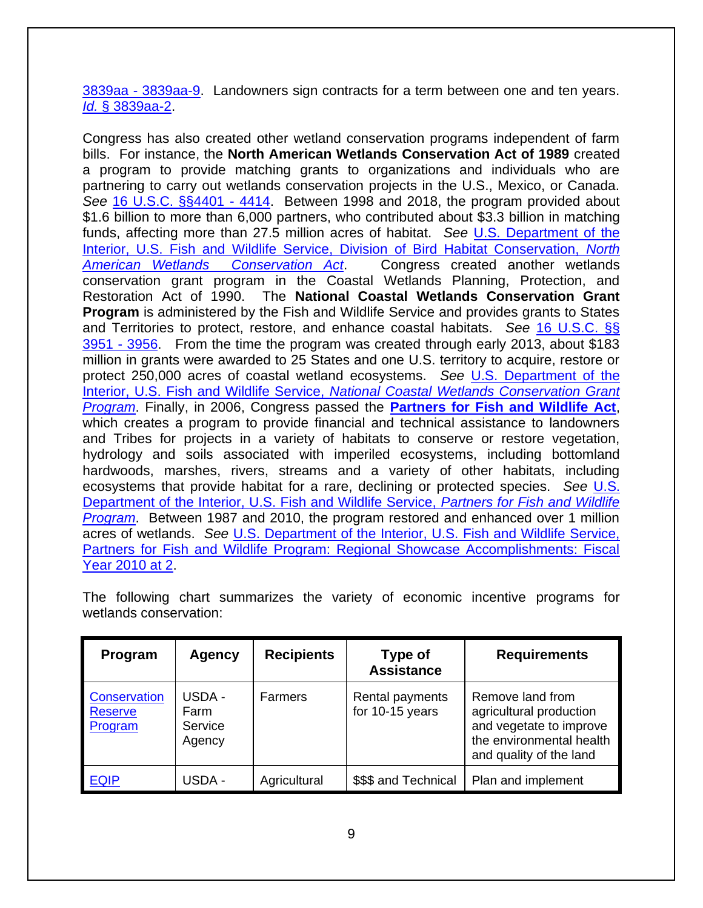3839aa - [3839aa-9.](http://www.law.cornell.edu/uscode/text/16/chapter-58/subchapter-IV/part-IV) Landowners sign contracts for a term between one and ten years. *Id.* [§ 3839aa-2.](http://www.law.cornell.edu/uscode/text/16/3839aa-2)

Congress has also created other wetland conservation programs independent of farm bills. For instance, the **North American Wetlands Conservation Act of 1989** created a program to provide matching grants to organizations and individuals who are partnering to carry out wetlands conservation projects in the U.S., Mexico, or Canada. *See* [16 U.S.C. §§4401 -](http://www.law.cornell.edu/uscode/text/16/chapter-64) 4414. Between 1998 and 2018, the program provided about \$1.6 billion to more than 6,000 partners, who contributed about \$3.3 billion in matching funds, affecting more than 27.5 million acres of habitat. *See* [U.S. Department of the](https://www.fws.gov/birds/grants/north-american-wetland-conservation-act.php)  [Interior, U.S. Fish and Wildlife Service, Division of Bird Habitat Conservation,](https://www.fws.gov/birds/grants/north-american-wetland-conservation-act.php) *North [American Wetlands Conservation Act](https://www.fws.gov/birds/grants/north-american-wetland-conservation-act.php)*. Congress created another wetlands conservation grant program in the Coastal Wetlands Planning, Protection, and Restoration Act of 1990. The **National Coastal Wetlands Conservation Grant Program** is administered by the Fish and Wildlife Service and provides grants to States and Territories to protect, restore, and enhance coastal habitats. *See* [16 U.S.C. §§](http://www.law.cornell.edu/uscode/text/16/chapter-59A)  [3951 -](http://www.law.cornell.edu/uscode/text/16/chapter-59A) 3956. From the time the program was created through early 2013, about \$183 million in grants were awarded to 25 States and one U.S. territory to acquire, restore or protect 250,000 acres of coastal wetland ecosystems. *See* [U.S. Department of the](http://www.fws.gov/Coastal/CoastalGrants/index.html)  Interior, U.S. Fish and Wildlife Service, *[National Coastal Wetlands Conservation Grant](http://www.fws.gov/Coastal/CoastalGrants/index.html)  [Program](http://www.fws.gov/Coastal/CoastalGrants/index.html)*. Finally, in 2006, Congress passed the **[Partners for Fish and Wildlife Act](http://www.fws.gov/partners/docs/1151.pdf)**, which creates a program to provide financial and technical assistance to landowners and Tribes for projects in a variety of habitats to conserve or restore vegetation, hydrology and soils associated with imperiled ecosystems, including bottomland hardwoods, marshes, rivers, streams and a variety of other habitats, including ecosystems that provide habitat for a rare, declining or protected species. *See* [U.S.](http://www.fws.gov/partners/aboutus.html)  [Department of the Interior, U.S. Fish and Wildlife Service,](http://www.fws.gov/partners/aboutus.html) *Partners for Fish and Wildlife [Program](http://www.fws.gov/partners/aboutus.html)*. Between 1987 and 2010, the program restored and enhanced over 1 million acres of wetlands. *See* [U.S. Department of the Interior, U.S. Fish and Wildlife Service,](http://www.fws.gov/partners/docs/PFW_Accomplishments_2010.pdf)  [Partners for Fish and Wildlife Program: Regional Showcase Accomplishments: Fiscal](http://www.fws.gov/partners/docs/PFW_Accomplishments_2010.pdf)  [Year 2010 at 2.](http://www.fws.gov/partners/docs/PFW_Accomplishments_2010.pdf)

The following chart summarizes the variety of economic incentive programs for wetlands conservation:

| Program                                          | <b>Agency</b>                       | <b>Recipients</b> | Type of<br><b>Assistance</b>       | <b>Requirements</b>                                                                                                           |
|--------------------------------------------------|-------------------------------------|-------------------|------------------------------------|-------------------------------------------------------------------------------------------------------------------------------|
| <b>Conservation</b><br><b>Reserve</b><br>Program | USDA -<br>Farm<br>Service<br>Agency | <b>Farmers</b>    | Rental payments<br>for 10-15 years | Remove land from<br>agricultural production<br>and vegetate to improve<br>the environmental health<br>and quality of the land |
| <b>EQIP</b>                                      | USDA -                              | Agricultural      | \$\$\$ and Technical               | Plan and implement                                                                                                            |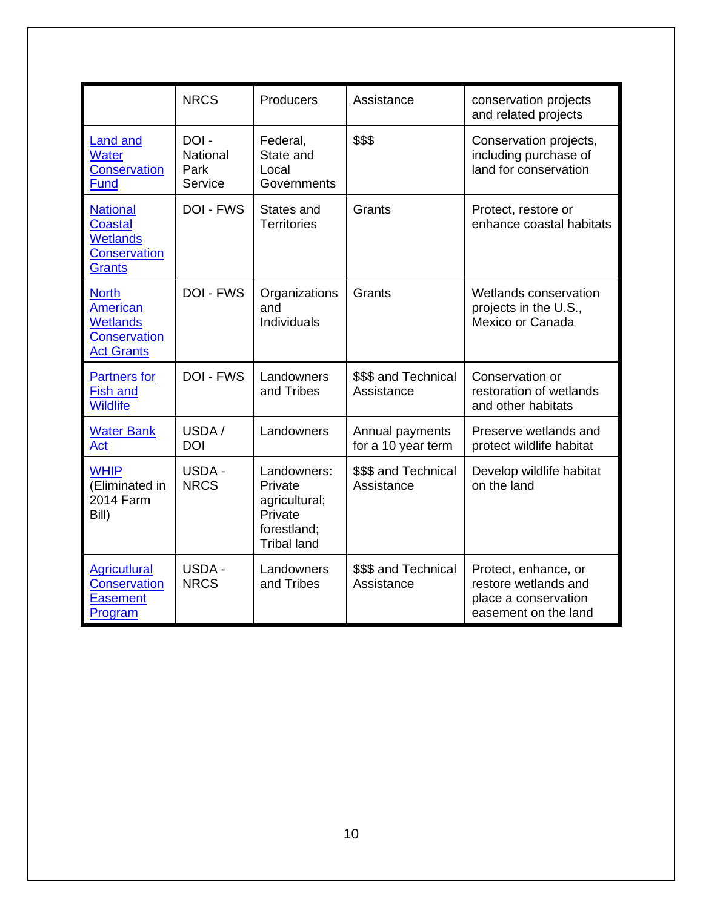|                                                                                              | <b>NRCS</b>                         | Producers                                                                               | Assistance                            | conservation projects<br>and related projects                                                |
|----------------------------------------------------------------------------------------------|-------------------------------------|-----------------------------------------------------------------------------------------|---------------------------------------|----------------------------------------------------------------------------------------------|
| <b>Land and</b><br><b>Water</b><br><b>Conservation</b><br>Fund                               | DOI-<br>National<br>Park<br>Service | Federal,<br>State and<br>Local<br>Governments                                           | \$\$\$                                | Conservation projects,<br>including purchase of<br>land for conservation                     |
| <b>National</b><br><b>Coastal</b><br><b>Wetlands</b><br><b>Conservation</b><br><b>Grants</b> | <b>DOI - FWS</b>                    | States and<br><b>Territories</b>                                                        | Grants                                | Protect, restore or<br>enhance coastal habitats                                              |
| <b>North</b><br>American<br><b>Wetlands</b><br><b>Conservation</b><br><b>Act Grants</b>      | <b>DOI - FWS</b>                    | Organizations<br>and<br>Individuals                                                     | Grants                                | Wetlands conservation<br>projects in the U.S.,<br>Mexico or Canada                           |
| <b>Partners for</b><br><b>Fish and</b><br><b>Wildlife</b>                                    | <b>DOI - FWS</b>                    | Landowners<br>and Tribes                                                                | \$\$\$ and Technical<br>Assistance    | Conservation or<br>restoration of wetlands<br>and other habitats                             |
| <b>Water Bank</b><br>Act                                                                     | USDA /<br><b>DOI</b>                | Landowners                                                                              | Annual payments<br>for a 10 year term | Preserve wetlands and<br>protect wildlife habitat                                            |
| <b>WHIP</b><br>(Eliminated in<br>2014 Farm<br>Bill)                                          | USDA -<br><b>NRCS</b>               | Landowners:<br>Private<br>agricultural;<br>Private<br>forestland;<br><b>Tribal land</b> | \$\$\$ and Technical<br>Assistance    | Develop wildlife habitat<br>on the land                                                      |
| <b>Agricutlural</b><br><b>Conservation</b><br><b>Easement</b><br>Program                     | <b>USDA-</b><br><b>NRCS</b>         | Landowners<br>and Tribes                                                                | \$\$\$ and Technical<br>Assistance    | Protect, enhance, or<br>restore wetlands and<br>place a conservation<br>easement on the land |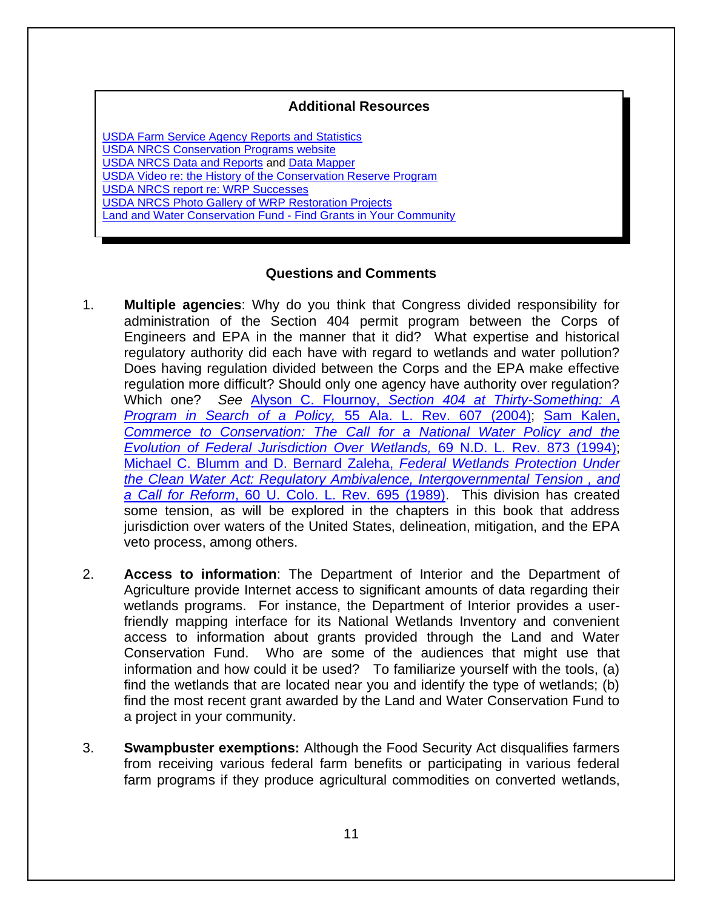#### **Additional Resources**

[USDA Farm Service Agency Reports and Statistics](http://www.fsa.usda.gov/FSA/webapp?area=home&subject=copr&topic=rns) [USDA NRCS Conservation Programs website](http://www.nrcs.usda.gov/wps/portal/nrcs/main/national/programs/)  [USDA NRCS Data and Reports](http://www.nrcs.usda.gov/wps/portal/nrcs/detail/national/programs/?cid=stelprdb1119097) and [Data Mapper](http://www.nrcs.usda.gov/wps/portal/nrcs/rca/national/technical/nra/rca/ida/) [USDA Video re: the History of the Conservation Reserve Program](http://www.youtube.com/watch?feature=player_embedded&v=nLS8FxQTDX0)  [USDA NRCS report re: WRP Successes](http://www.nrcs.usda.gov/Internet/FSE_DOCUMENTS/stelprdb1045079.pdf)  [USDA NRCS Photo Gallery of WRP Restoration Projects](http://www.nrcs.usda.gov/wps/portal/nrcs/detail/national/programs/easements/wetlands/?cid=nrcs143_008339) Land and Water [Conservation Fund -](http://waso-lwcf.ncrc.nps.gov/public/index.cfm) Find Grants in Your Community

#### **Questions and Comments**

- 1. **Multiple agencies**: Why do you think that Congress divided responsibility for administration of the Section 404 permit program between the Corps of Engineers and EPA in the manner that it did? What expertise and historical regulatory authority did each have with regard to wetlands and water pollution? Does having regulation divided between the Corps and the EPA make effective regulation more difficult? Should only one agency have authority over regulation? Which one? *See* Alyson C. Flournoy, *[Section 404 at Thirty-Something: A](http://scholarship.law.ufl.edu/cgi/viewcontent.cgi?article=1085&context=facultypub)  [Program in Search of a Policy,](http://scholarship.law.ufl.edu/cgi/viewcontent.cgi?article=1085&context=facultypub)* 55 Ala. L. Rev. 607 (2004); [Sam Kalen,](http://papers.ssrn.com/sol3/Delivery.cfm/SSRN_ID2034603_code1487284.pdf?abstractid=2034603&mirid=1)  *[Commerce to Conservation: The Call for a National Water Policy and the](http://papers.ssrn.com/sol3/Delivery.cfm/SSRN_ID2034603_code1487284.pdf?abstractid=2034603&mirid=1)  [Evolution of Federal Jurisdiction Over Wetlands,](http://papers.ssrn.com/sol3/Delivery.cfm/SSRN_ID2034603_code1487284.pdf?abstractid=2034603&mirid=1)* 69 N.D. L. Rev. 873 (1994); [Michael C. Blumm and D. Bernard Zaleha,](http://www.researchgate.net/publication/255498738_Federal_wetlands_protection_under_the_Clean_Water_Act_Regulatory_ambivalence_intergovernmental_tension_and_a_call_for_reform) *Federal Wetlands Protection Under [the Clean Water Act: Regulatory Ambivalence, Intergovernmental Tension , and](http://www.researchgate.net/publication/255498738_Federal_wetlands_protection_under_the_Clean_Water_Act_Regulatory_ambivalence_intergovernmental_tension_and_a_call_for_reform)  a Call for Reform*[, 60 U. Colo. L. Rev. 695 \(1989\).](http://www.researchgate.net/publication/255498738_Federal_wetlands_protection_under_the_Clean_Water_Act_Regulatory_ambivalence_intergovernmental_tension_and_a_call_for_reform) This division has created some tension, as will be explored in the chapters in this book that address jurisdiction over waters of the United States, delineation, mitigation, and the EPA veto process, among others.
- 2. **Access to information**: The Department of Interior and the Department of Agriculture provide Internet access to significant amounts of data regarding their wetlands programs. For instance, the Department of Interior provides a userfriendly mapping interface for its National Wetlands Inventory and convenient access to information about grants provided through the Land and Water Conservation Fund. Who are some of the audiences that might use that information and how could it be used? To familiarize yourself with the tools, (a) find the wetlands that are located near you and identify the type of wetlands; (b) find the most recent grant awarded by the Land and Water Conservation Fund to a project in your community.
- 3. **Swampbuster exemptions:** Although the Food Security Act disqualifies farmers from receiving various federal farm benefits or participating in various federal farm programs if they produce agricultural commodities on converted wetlands,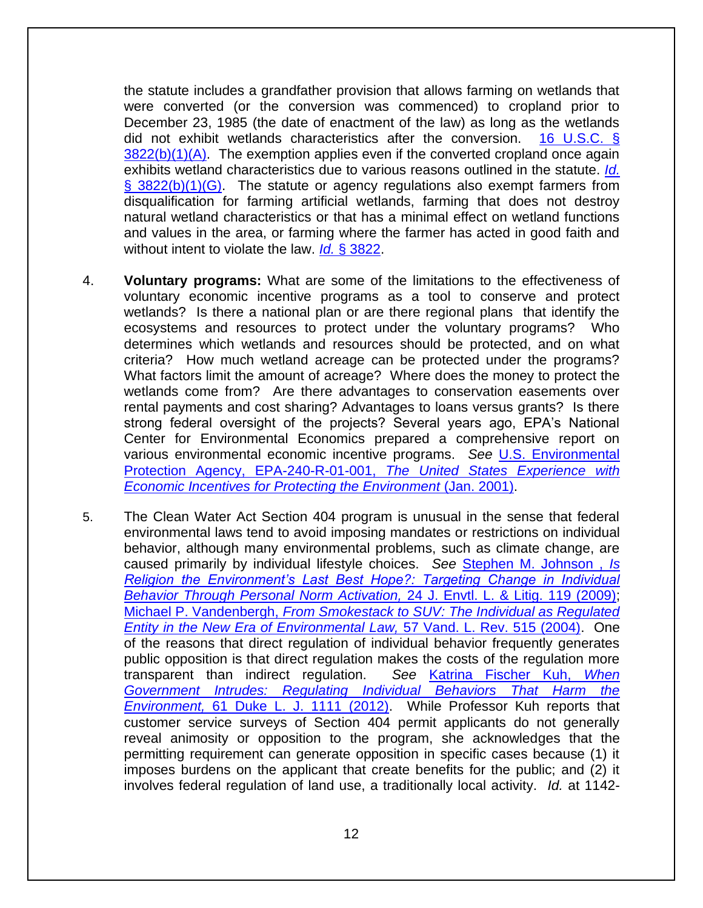the statute includes a grandfather provision that allows farming on wetlands that were converted (or the conversion was commenced) to cropland prior to December 23, 1985 (the date of enactment of the law) as long as the wetlands did not exhibit wetlands characteristics after the conversion. [16 U.S.C. §](http://www.law.cornell.edu/uscode/text/16/3822)   $3822(b)(1)(A)$ . The exemption applies even if the converted cropland once again exhibits wetland characteristics due to various reasons outlined in the statute. *[Id.](http://www.law.cornell.edu/uscode/text/16/3822)*   $\S$  3822(b)(1)(G). The statute or agency regulations also exempt farmers from disqualification for farming artificial wetlands, farming that does not destroy natural wetland characteristics or that has a minimal effect on wetland functions and values in the area, or farming where the farmer has acted in good faith and without intent to violate the law. *Id.* [§ 3822.](http://www.law.cornell.edu/uscode/text/16/3822)

- 4. **Voluntary programs:** What are some of the limitations to the effectiveness of voluntary economic incentive programs as a tool to conserve and protect wetlands? Is there a national plan or are there regional plans that identify the ecosystems and resources to protect under the voluntary programs? Who determines which wetlands and resources should be protected, and on what criteria? How much wetland acreage can be protected under the programs? What factors limit the amount of acreage? Where does the money to protect the wetlands come from? Are there advantages to conservation easements over rental payments and cost sharing? Advantages to loans versus grants? Is there strong federal oversight of the projects? Several years ago, EPA's National Center for Environmental Economics prepared a comprehensive report on various environmental economic incentive programs. *See* [U.S. Environmental](http://web.archive.org/web/20151120121713/http:/yosemite.epa.gov/ee/epa/eerm.nsf/vwAN/EE-0216B-13.pdf/$file/EE-0216B-13.pdf)  [Protection Agency, EPA-240-R-01-001,](http://web.archive.org/web/20151120121713/http:/yosemite.epa.gov/ee/epa/eerm.nsf/vwAN/EE-0216B-13.pdf/$file/EE-0216B-13.pdf) *The United States Experience with [Economic Incentives for Protecting the Environment](http://web.archive.org/web/20151120121713/http:/yosemite.epa.gov/ee/epa/eerm.nsf/vwAN/EE-0216B-13.pdf/$file/EE-0216B-13.pdf)* (Jan. 2001).
- 5. The Clean Water Act Section 404 program is unusual in the sense that federal environmental laws tend to avoid imposing mandates or restrictions on individual behavior, although many environmental problems, such as climate change, are caused primarily by individual lifestyle choices. *See* [Stephen M. Johnson ,](https://mylaw.uoregon.edu/org/jell/docs/232/Johnson.pdf) *Is [Religion the Environment's Last Best Hope?: Targeting Change in Individual](https://mylaw.uoregon.edu/org/jell/docs/232/Johnson.pdf)  [Behavior Through Personal Norm Activation,](https://mylaw.uoregon.edu/org/jell/docs/232/Johnson.pdf)* 24 J. Envtl. L. & Litig. 119 (2009); Michael P. Vandenbergh, *[From Smokestack to SUV: The Individual as Regulated](http://papers.ssrn.com/sol3/Delivery.cfm/SSRN_ID730123_code603.pdf?abstractid=730123&mirid=1)  [Entity in the New Era of Environmental Law,](http://papers.ssrn.com/sol3/Delivery.cfm/SSRN_ID730123_code603.pdf?abstractid=730123&mirid=1)* 57 Vand. L. Rev. 515 (2004). One of the reasons that direct regulation of individual behavior frequently generates public opposition is that direct regulation makes the costs of the regulation more transparent than indirect regulation. *See* [Katrina Fischer Kuh,](http://scholarship.law.duke.edu/cgi/viewcontent.cgi?article=1529&context=dlj) *When [Government Intrudes: Regulating Individual Behaviors That Harm the](http://scholarship.law.duke.edu/cgi/viewcontent.cgi?article=1529&context=dlj)  Environment,* [61 Duke L. J. 1111 \(2012\).](http://scholarship.law.duke.edu/cgi/viewcontent.cgi?article=1529&context=dlj) While Professor Kuh reports that customer service surveys of Section 404 permit applicants do not generally reveal animosity or opposition to the program, she acknowledges that the permitting requirement can generate opposition in specific cases because (1) it imposes burdens on the applicant that create benefits for the public; and (2) it involves federal regulation of land use, a traditionally local activity. *Id.* at 1142-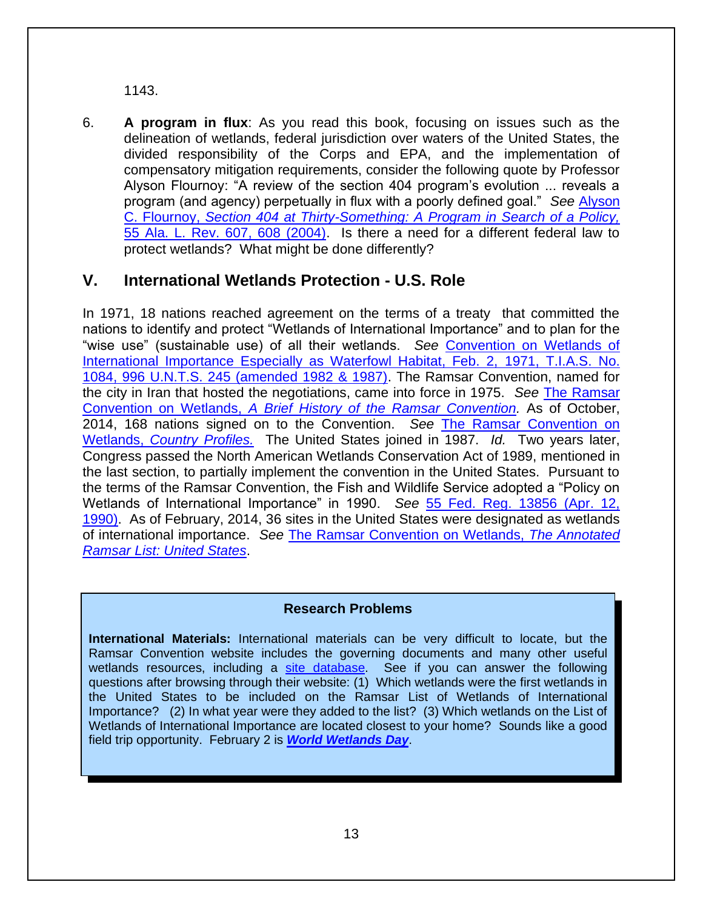1143.

6. **A program in flux**: As you read this book, focusing on issues such as the delineation of wetlands, federal jurisdiction over waters of the United States, the divided responsibility of the Corps and EPA, and the implementation of compensatory mitigation requirements, consider the following quote by Professor Alyson Flournoy: "A review of the section 404 program's evolution ... reveals a program (and agency) perpetually in flux with a poorly defined goal." *See* [Alyson](http://scholarship.law.ufl.edu/cgi/viewcontent.cgi?article=1085&context=facultypub)  C. Flournoy, *[Section 404 at Thirty-Something: A Program in Search of a Policy,](http://scholarship.law.ufl.edu/cgi/viewcontent.cgi?article=1085&context=facultypub)*  [55 Ala. L. Rev. 607, 608 \(2004\).](http://scholarship.law.ufl.edu/cgi/viewcontent.cgi?article=1085&context=facultypub) Is there a need for a different federal law to protect wetlands? What might be done differently?

## **V. International Wetlands Protection - U.S. Role**

In 1971, 18 nations reached agreement on the terms of a treaty that committed the nations to identify and protect "Wetlands of International Importance" and to plan for the "wise use" (sustainable use) of all their wetlands. *See* [Convention on Wetlands of](http://www.ramsar.org/sites/default/files/documents/library/current_convention_text_e.pdf)  [International Importance Especially as Waterfowl Habitat, Feb. 2,](http://www.ramsar.org/sites/default/files/documents/library/current_convention_text_e.pdf) 1971, T.I.A.S. No. [1084, 996 U.N.T.S. 245 \(amended 1982 & 1987\).](http://www.ramsar.org/sites/default/files/documents/library/current_convention_text_e.pdf) The Ramsar Convention, named for the city in Iran that hosted the negotiations, came into force in 1975. *See* [The Ramsar](http://www.ramsar.org/about/history-of-the-ramsar-convention)  Convention on Wetlands, *[A Brief History of the Ramsar Convention.](http://www.ramsar.org/about/history-of-the-ramsar-convention)* As of October, 2014, 168 nations signed on to the Convention. *See* [The Ramsar Convention on](http://www.ramsar.org/country-profiles)  Wetlands, *[Country Profiles.](http://www.ramsar.org/country-profiles)* The United States joined in 1987. *Id.* Two years later, Congress passed the North American Wetlands Conservation Act of 1989, mentioned in the last section, to partially implement the convention in the United States. Pursuant to the terms of the Ramsar Convention, the Fish and Wildlife Service adopted a "Policy on Wetlands of International Importance" in 1990. *See* [55 Fed. Reg. 13856 \(Apr. 12,](http://www.envirolawteachers.com/55-fed-reg-13586.html)  [1990\).](http://www.envirolawteachers.com/55-fed-reg-13586.html) As of February, 2014, 36 sites in the United States were designated as wetlands of international importance. *See* [The Ramsar Convention on Wetlands,](https://rsis.ramsar.org/ris-search/?f%5b0%5d=regionCountry_en_ss%3ANorth%20America&f%5b1%5d=regionCountry_en_ss%3AUnited%20States%20of%20America&pagetab=1) *The Annotated [Ramsar List: United States](https://rsis.ramsar.org/ris-search/?f%5b0%5d=regionCountry_en_ss%3ANorth%20America&f%5b1%5d=regionCountry_en_ss%3AUnited%20States%20of%20America&pagetab=1)*.

#### **Research Problems**

**International Materials:** International materials can be very difficult to locate, but the Ramsar Convention website includes the governing documents and many other useful wetlands resources, including a [site database.](https://rsis.ramsar.org/) See if you can answer the following questions after browsing through their website:  $(1)$  Which wetlands were the first wetlands in the United States to be included on the Ramsar List of Wetlands of International Importance? (2) In what year were they added to the list? (3) Which wetlands on the List of Wetlands of International Importance are located closest to your home? Sounds like a good field trip opportunity. February 2 is *[World Wetlands Day](http://www.ramsar.org/activity/world-wetlands-day-2015)*.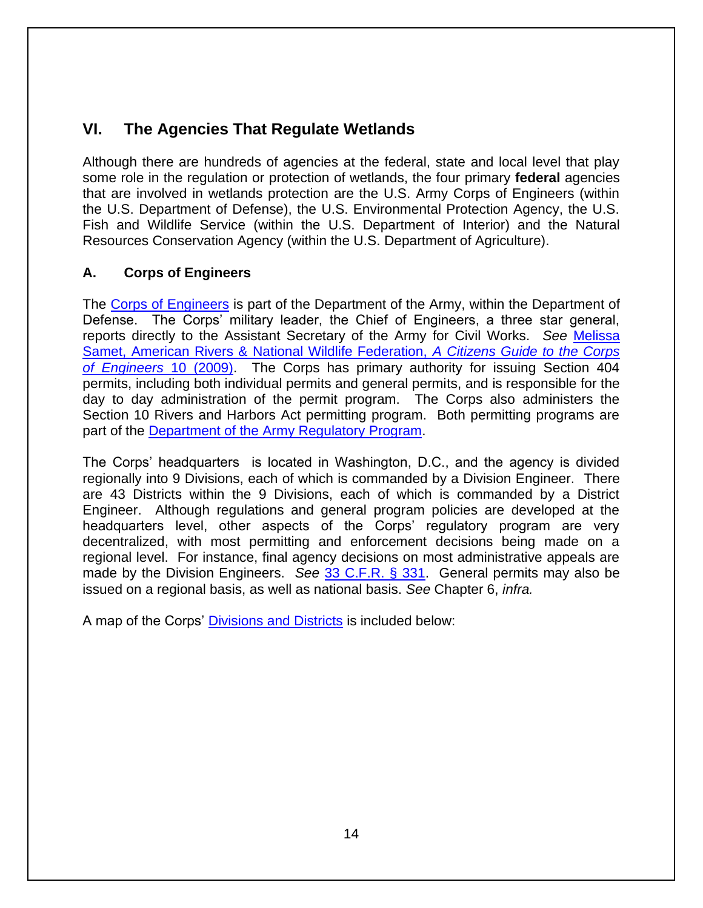# **VI. The Agencies That Regulate Wetlands**

Although there are hundreds of agencies at the federal, state and local level that play some role in the regulation or protection of wetlands, the four primary **federal** agencies that are involved in wetlands protection are the U.S. Army Corps of Engineers (within the U.S. Department of Defense), the U.S. Environmental Protection Agency, the U.S. Fish and Wildlife Service (within the U.S. Department of Interior) and the Natural Resources Conservation Agency (within the U.S. Department of Agriculture).

#### **A. Corps of Engineers**

The [Corps of Engineers](http://www.usace.army.mil/Home.aspx) is part of the Department of the Army, within the Department of Defense. The Corps' military leader, the Chief of Engineers, a three star general, reports directly to the Assistant Secretary of the Army for Civil Works. *See* [Melissa](http://biotech.law.lsu.edu/blog/A-Citizens-Guide-to-the-Corps-of-Engineers-Permitting-D.pdf)  [Samet, American Rivers & National Wildlife Federation,](http://biotech.law.lsu.edu/blog/A-Citizens-Guide-to-the-Corps-of-Engineers-Permitting-D.pdf) *A Citizens Guide to the Corps [of Engineers](http://biotech.law.lsu.edu/blog/A-Citizens-Guide-to-the-Corps-of-Engineers-Permitting-D.pdf)* 10 (2009). The Corps has primary authority for issuing Section 404 permits, including both individual permits and general permits, and is responsible for the day to day administration of the permit program. The Corps also administers the Section 10 Rivers and Harbors Act permitting program. Both permitting programs are part of the [Department of the Army Regulatory Program.](http://www.usace.army.mil/Missions/Civil-Works/Regulatory-Program-and-Permits/)

The Corps' headquarters is located in Washington, D.C., and the agency is divided regionally into 9 Divisions, each of which is commanded by a Division Engineer. There are 43 Districts within the 9 Divisions, each of which is commanded by a District Engineer. Although regulations and general program policies are developed at the headquarters level, other aspects of the Corps' regulatory program are very decentralized, with most permitting and enforcement decisions being made on a regional level. For instance, final agency decisions on most administrative appeals are made by the Division Engineers. *See* [33 C.F.R. § 331.](https://www.law.cornell.edu/cfr/text/33/part-331) General permits may also be issued on a regional basis, as well as national basis. *See* Chapter 6, *infra.* 

A map of the Corps' [Divisions and Districts](http://www.usace.army.mil/locations.aspx) is included below: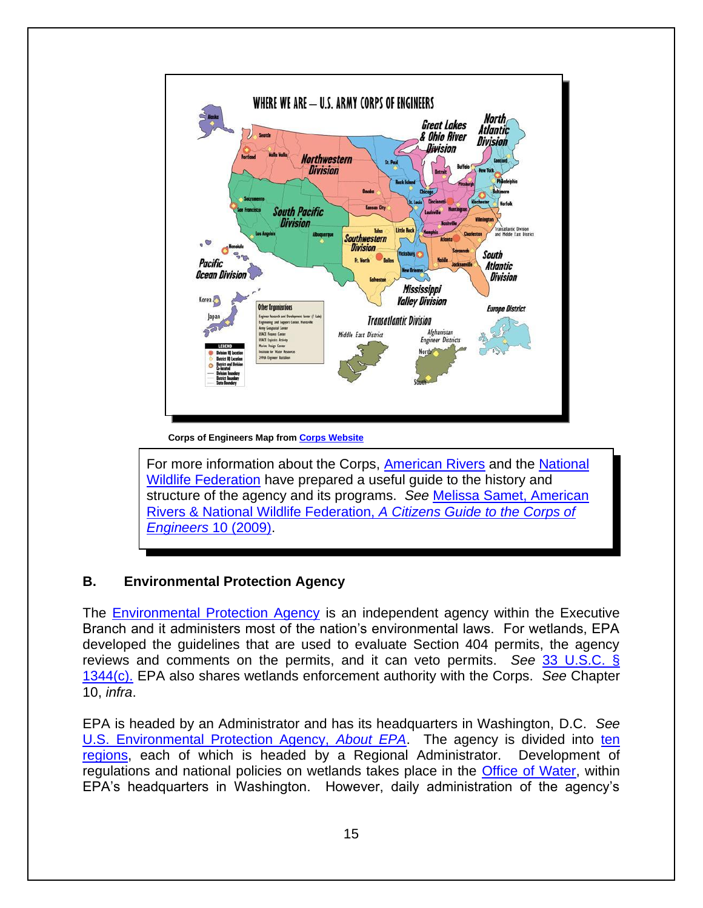

**Corps of Engineers Map from [Corps Website](http://www.usace.army.mil/Locations.aspx)**

For more information about the Corps, [American Rivers](https://www.americanrivers.org/) and the [National](http://www.nwf.org/)  [Wildlife Federation](http://www.nwf.org/) have prepared a useful guide to the history and structure of the agency and its programs. *See* [Melissa Samet, American](http://biotech.law.lsu.edu/blog/A-Citizens-Guide-to-the-Corps-of-Engineers-Permitting-D.pdf)  Rivers & National Wildlife Federation, *[A Citizens Guide to the Corps of](http://biotech.law.lsu.edu/blog/A-Citizens-Guide-to-the-Corps-of-Engineers-Permitting-D.pdf)  [Engineers](http://biotech.law.lsu.edu/blog/A-Citizens-Guide-to-the-Corps-of-Engineers-Permitting-D.pdf)* 10 (2009).

#### **B. Environmental Protection Agency**

The [Environmental Protection Agency](http://www.epa.gov/) is an independent agency within the Executive Branch and it administers most of the nation's environmental laws. For wetlands, EPA developed the guidelines that are used to evaluate Section 404 permits, the agency reviews and comments on the permits, and it can veto permits. *See* [33 U.S.C. §](http://www.law.cornell.edu/uscode/text/33/1344)  [1344\(c\).](http://www.law.cornell.edu/uscode/text/33/1344) EPA also shares wetlands enforcement authority with the Corps. *See* Chapter 10, *infra*.

EPA is headed by an Administrator and has its headquarters in Washington, D.C. *See*  [U.S. Environmental Protection Agency,](http://www2.epa.gov/aboutepa) *About EPA*. The agency is divided into [ten](http://www2.epa.gov/aboutepa#pane-4)  [regions,](http://www2.epa.gov/aboutepa#pane-4) each of which is headed by a Regional Administrator. Development of regulations and national policies on wetlands takes place in the [Office of Water,](http://www2.epa.gov/aboutepa/about-office-water) within EPA's headquarters in Washington. However, daily administration of the agency's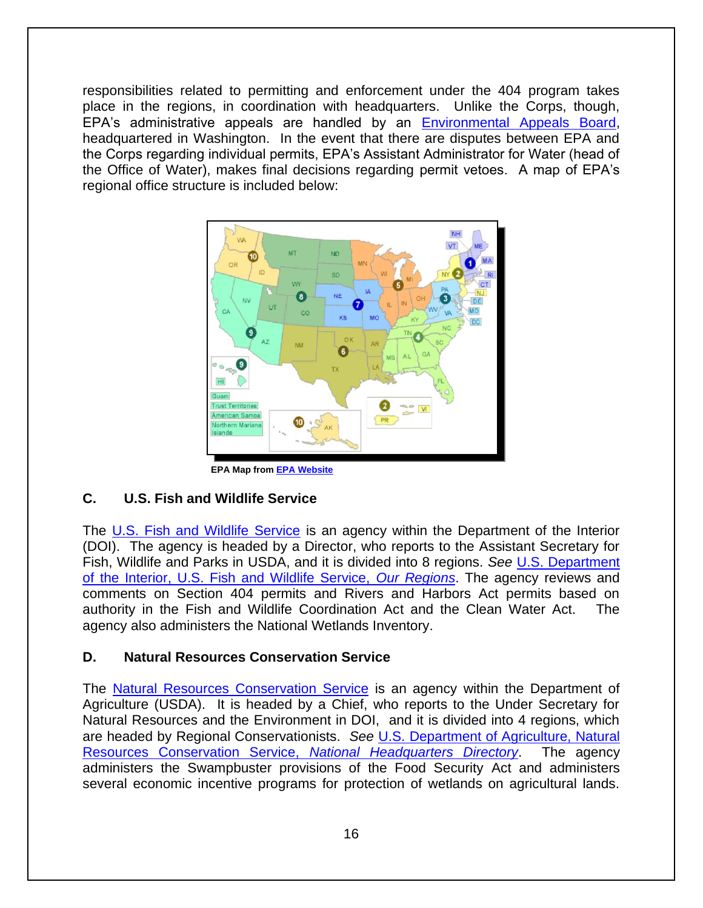responsibilities related to permitting and enforcement under the 404 program takes place in the regions, in coordination with headquarters. Unlike the Corps, though, EPA's administrative appeals are handled by an [Environmental Appeals Board,](http://yosemite.epa.gov/oa/EAB_Web_Docket.nsf/) headquartered in Washington. In the event that there are disputes between EPA and the Corps regarding individual permits, EPA's Assistant Administrator for Water (head of the Office of Water), makes final decisions regarding permit vetoes. A map of EPA's regional office structure is included below:



**EPA Map fro[m EPA Website](http://www2.epa.gov/aboutepa/visiting-regional-office)** 

#### **C. U.S. Fish and Wildlife Service**

The [U.S. Fish and Wildlife Service](http://www.fws.gov/) is an agency within the Department of the Interior (DOI). The agency is headed by a Director, who reports to the Assistant Secretary for Fish, Wildlife and Parks in USDA, and it is divided into 8 regions. *See* [U.S. Department](http://www.fws.gov/)  [of the Interior, U.S. Fish and Wildlife Service,](http://www.fws.gov/) *Our Regions*. The agency reviews and comments on Section 404 permits and Rivers and Harbors Act permits based on authority in the Fish and Wildlife Coordination Act and the Clean Water Act. The agency also administers the National Wetlands Inventory.

#### **D. Natural Resources Conservation Service**

The [Natural Resources Conservation Service](http://www.nrcs.usda.gov/wps/portal/nrcs/site/national/home/) is an agency within the Department of Agriculture (USDA). It is headed by a Chief, who reports to the Under Secretary for Natural Resources and the Environment in DOI, and it is divided into 4 regions, which are headed by Regional Conservationists. *See* [U.S. Department of Agriculture, Natural](http://www.nrcs.usda.gov/Internet/FSE_DOCUMENTS/stelprdb1118791.pdf)  [Resources Conservation Service,](http://www.nrcs.usda.gov/Internet/FSE_DOCUMENTS/stelprdb1118791.pdf) *National Headquarters Directory*. The agency administers the Swampbuster provisions of the Food Security Act and administers several economic incentive programs for protection of wetlands on agricultural lands.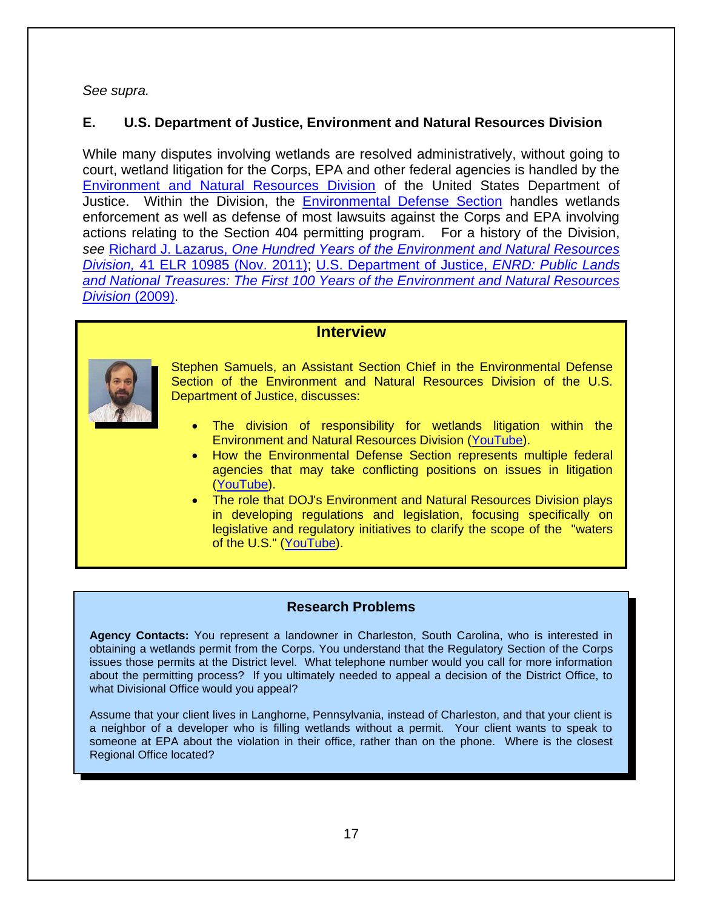*See supra.*

#### **E. U.S. Department of Justice, Environment and Natural Resources Division**

While many disputes involving wetlands are resolved administratively, without going to court, wetland litigation for the Corps, EPA and other federal agencies is handled by the [Environment and Natural Resources Division](http://www.justice.gov/enrd/) of the United States Department of Justice. Within the Division, the [Environmental Defense Section](http://www.justice.gov/enrd/ENRD_eds.html) handles wetlands enforcement as well as defense of most lawsuits against the Corps and EPA involving actions relating to the Section 404 permitting program. For a history of the Division, *see* Richard J. Lazarus, *[One Hundred Years of the Environment and Natural Resources](http://www.law.harvard.edu/faculty/rlazarus/docs/articles/LazarusRichardELRArticleNov11.pdf)  Division,* [41 ELR 10985 \(Nov. 2011\);](http://www.law.harvard.edu/faculty/rlazarus/docs/articles/LazarusRichardELRArticleNov11.pdf) [U.S. Department of Justice,](http://www.justice.gov/enrd/ENRD_Assets/public_lands_and_national_treasures.pdf) *ENRD: Public Lands [and National Treasures: The First 100 Years of the Environment and Natural Resources](http://www.justice.gov/enrd/ENRD_Assets/public_lands_and_national_treasures.pdf)  [Division](http://www.justice.gov/enrd/ENRD_Assets/public_lands_and_national_treasures.pdf)* (2009).

#### **Interview**



Stephen Samuels, an Assistant Section Chief in the Environmental Defense Section of the Environment and Natural Resources Division of the U.S. Department of Justice, discusses:

- The division of responsibility for wetlands litigation within the Environment and Natural Resources Division [\(YouTube\)](https://www.youtube.com/watch?v=3Nny-RnX8uI).
- How the Environmental Defense Section represents multiple federal agencies that may take conflicting positions on issues in litigation [\(YouTube\)](https://www.youtube.com/watch?v=o1EzYYUOQio).
- The role that DOJ's Environment and Natural Resources Division plays in developing regulations and legislation, focusing specifically on legislative and regulatory initiatives to clarify the scope of the "waters of the U.S." [\(YouTube\)](https://www.youtube.com/watch?v=7tALJrTNwsE).

#### **Research Problems**

**Agency Contacts:** You represent a landowner in Charleston, South Carolina, who is interested in obtaining a wetlands permit from the Corps. You understand that the Regulatory Section of the Corps issues those permits at the District level. What telephone number would you call for more information about the permitting process? If you ultimately needed to appeal a decision of the District Office, to what Divisional Office would you appeal?

Assume that your client lives in Langhorne, Pennsylvania, instead of Charleston, and that your client is a neighbor of a developer who is filling wetlands without a permit. Your client wants to speak to someone at EPA about the violation in their office, rather than on the phone. Where is the closest Regional Office located?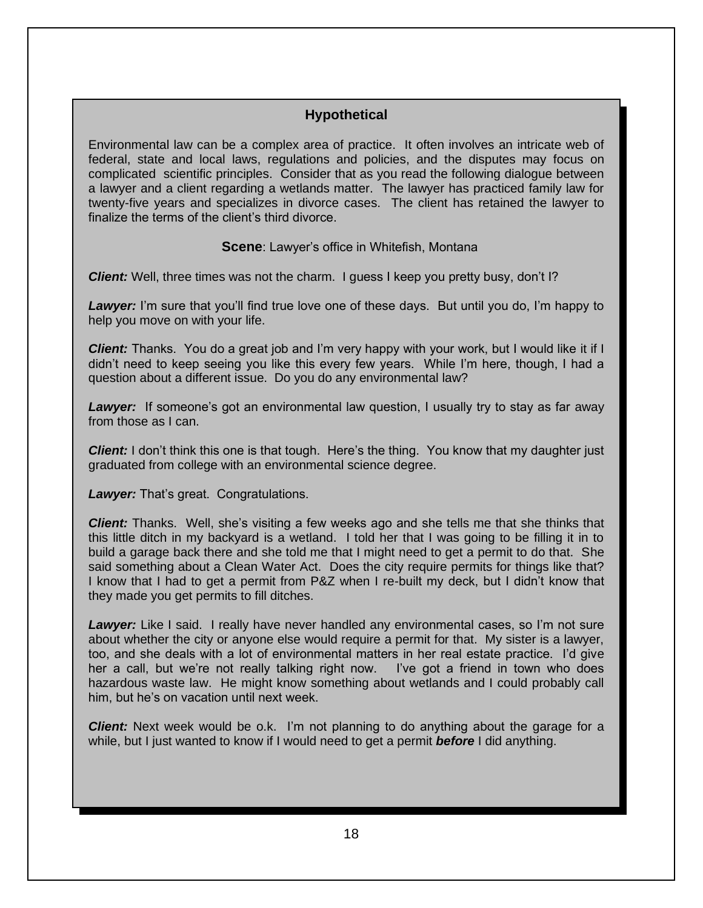#### **Hypothetical**

Environmental law can be a complex area of practice. It often involves an intricate web of federal, state and local laws, regulations and policies, and the disputes may focus on complicated scientific principles. Consider that as you read the following dialogue between a lawyer and a client regarding a wetlands matter. The lawyer has practiced family law for twenty-five years and specializes in divorce cases. The client has retained the lawyer to finalize the terms of the client's third divorce.

**Scene**: Lawyer's office in Whitefish, Montana

**Client:** Well, three times was not the charm. I guess I keep you pretty busy, don't I?

**Lawyer:** I'm sure that you'll find true love one of these days. But until you do, I'm happy to help you move on with your life.

*Client:* Thanks. You do a great job and I'm very happy with your work, but I would like it if I didn't need to keep seeing you like this every few years. While I'm here, though, I had a question about a different issue. Do you do any environmental law?

*Lawyer:* If someone's got an environmental law question, I usually try to stay as far away from those as I can.

*Client:* I don't think this one is that tough. Here's the thing. You know that my daughter just graduated from college with an environmental science degree.

*Lawyer:* That's great. Congratulations.

*Client:* Thanks. Well, she's visiting a few weeks ago and she tells me that she thinks that this little ditch in my backyard is a wetland. I told her that I was going to be filling it in to build a garage back there and she told me that I might need to get a permit to do that. She said something about a Clean Water Act. Does the city require permits for things like that? I know that I had to get a permit from P&Z when I re-built my deck, but I didn't know that they made you get permits to fill ditches.

Lawyer: Like I said. I really have never handled any environmental cases, so I'm not sure about whether the city or anyone else would require a permit for that. My sister is a lawyer, too, and she deals with a lot of environmental matters in her real estate practice. I'd give her a call, but we're not really talking right now. I've got a friend in town who does hazardous waste law. He might know something about wetlands and I could probably call him, but he's on vacation until next week.

*Client:* Next week would be o.k. I'm not planning to do anything about the garage for a while, but I just wanted to know if I would need to get a permit *before* I did anything.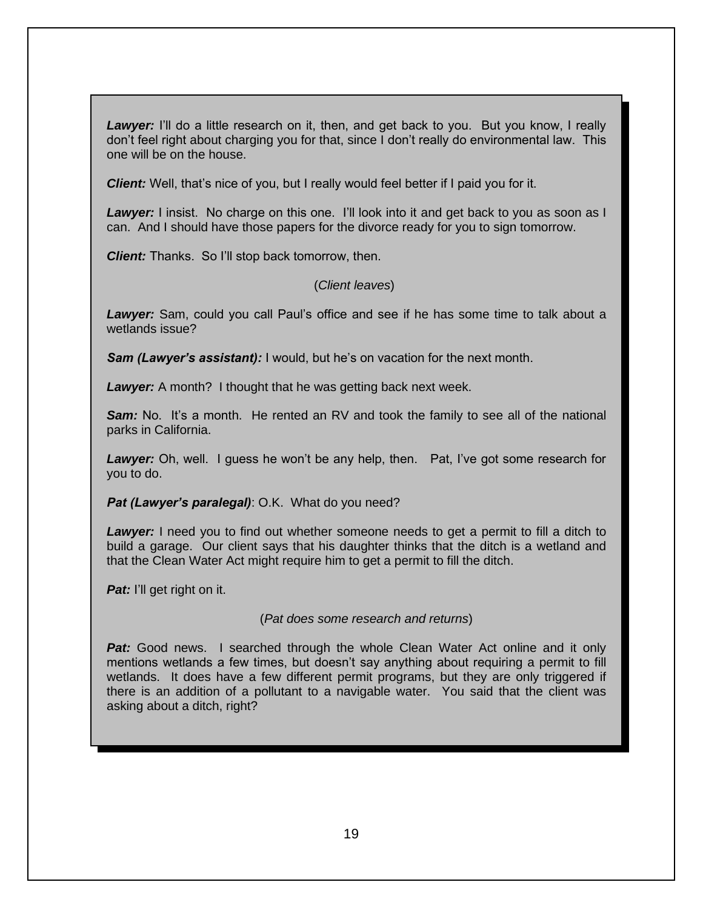Lawyer: I'll do a little research on it, then, and get back to you. But you know, I really don't feel right about charging you for that, since I don't really do environmental law. This one will be on the house.

*Client:* Well, that's nice of you, but I really would feel better if I paid you for it.

**Lawyer:** I insist. No charge on this one. I'll look into it and get back to you as soon as I can. And I should have those papers for the divorce ready for you to sign tomorrow.

*Client:* Thanks. So I'll stop back tomorrow, then.

#### (*Client leaves*)

*Lawyer:* Sam, could you call Paul's office and see if he has some time to talk about a wetlands issue?

*Sam (Lawyer's assistant):* I would, but he's on vacation for the next month.

**Lawyer:** A month? I thought that he was getting back next week.

**Sam:** No. It's a month. He rented an RV and took the family to see all of the national parks in California.

*Lawyer:* Oh, well. I guess he won't be any help, then. Pat, I've got some research for you to do.

**Pat (Lawyer's paralegal)**: O.K. What do you need?

*Lawyer:* I need you to find out whether someone needs to get a permit to fill a ditch to build a garage. Our client says that his daughter thinks that the ditch is a wetland and that the Clean Water Act might require him to get a permit to fill the ditch.

*Pat:* I'll get right on it.

(*Pat does some research and returns*)

**Pat:** Good news. I searched through the whole Clean Water Act online and it only mentions wetlands a few times, but doesn't say anything about requiring a permit to fill wetlands. It does have a few different permit programs, but they are only triggered if there is an addition of a pollutant to a navigable water. You said that the client was asking about a ditch, right?